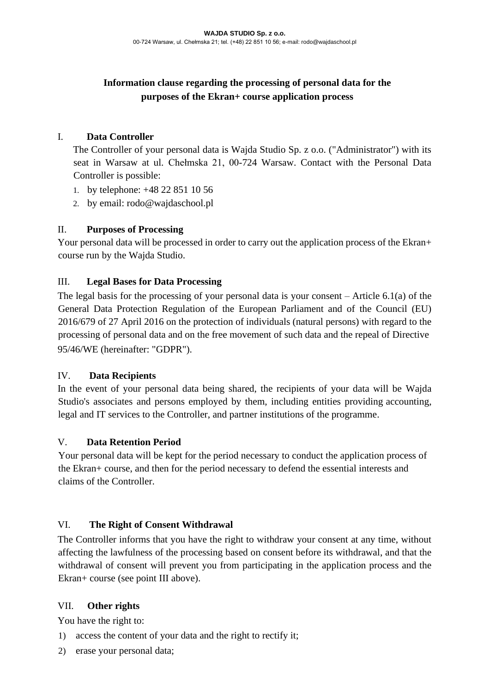# **Information clause regarding the processing of personal data for the purposes of the Ekran+ course application process**

## I. **Data Controller**

The Controller of your personal data is Wajda Studio Sp. z o.o. ("Administrator") with its seat in Warsaw at ul. Chełmska 21, 00-724 Warsaw. Contact with the Personal Data Controller is possible:

- 1. by telephone: +48 22 851 10 56
- 2. by email: rodo@wajdaschool.pl

## II. **Purposes of Processing**

Your personal data will be processed in order to carry out the application process of the Ekran+ course run by the Wajda Studio.

## III. **Legal Bases for Data Processing**

The legal basis for the processing of your personal data is your consent – Article 6.1(a) of the General Data Protection Regulation of the European Parliament and of the Council (EU) 2016/679 of 27 April 2016 on the protection of individuals (natural persons) with regard to the processing of personal data and on the free movement of such data and the repeal of Directive 95/46/WE (hereinafter: "GDPR").

#### IV. **Data Recipients**

In the event of your personal data being shared, the recipients of your data will be Wajda Studio's associates and persons employed by them, including entities providing accounting, legal and IT services to the Controller, and partner institutions of the programme.

#### V. **Data Retention Period**

Your personal data will be kept for the period necessary to conduct the application process of the Ekran+ course, and then for the period necessary to defend the essential interests and claims of the Controller.

#### VI. **The Right of Consent Withdrawal**

The Controller informs that you have the right to withdraw your consent at any time, without affecting the lawfulness of the processing based on consent before its withdrawal, and that the withdrawal of consent will prevent you from participating in the application process and the Ekran+ course (see point III above).

#### VII. **Other rights**

You have the right to:

- 1) access the content of your data and the right to rectify it;
- 2) erase your personal data;